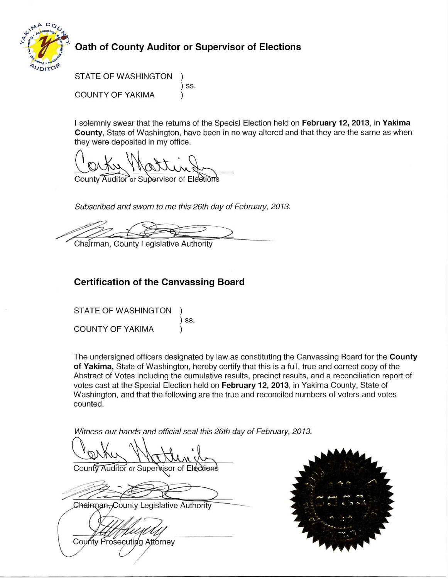

## Oath of County Auditor or Supervisor of Elections

STATE OF WASHINGTON ) SS. **COUNTY OF YAKIMA** 

I solemnly swear that the returns of the Special Election held on February 12, 2013, in Yakima County. State of Washington, have been in no way altered and that they are the same as when they were deposited in my office.

County Auditor or Supervisor of

Subscribed and sworn to me this 26th day of February, 2013.

Chairman, County Legislative Authority

## **Certification of the Canvassing Board**

**STATE OF WASHINGTON**  $)$  SS. **COUNTY OF YAKIMA** 

The undersigned officers designated by law as constituting the Canvassing Board for the County of Yakima, State of Washington, hereby certify that this is a full, true and correct copy of the Abstract of Votes including the cumulative results, precinct results, and a reconciliation report of votes cast at the Special Election held on February 12, 2013, in Yakima County, State of Washington, and that the following are the true and reconciled numbers of voters and votes counted.

Witness our hands and official seal this 26th day of February, 2013.

County Auditor or Supervisor of Election

Chairman, County Legislative Authority

County Prosecuting Attorney

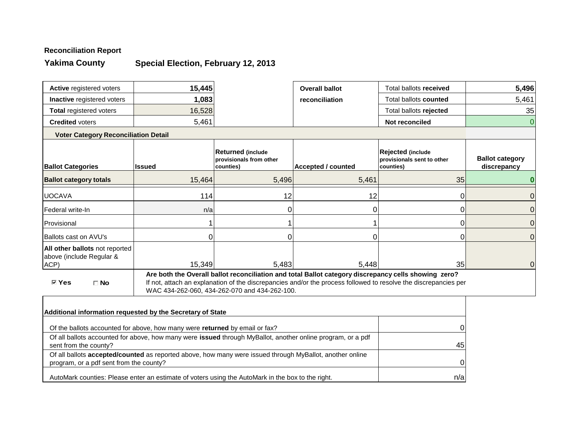## **Reconciliation Report**

**Yakima County**

# **Special Election, February 12, 2013**

| Active registered voters                                           | 15,445        |                                                                  | <b>Overall ballot</b>                                                                                | Total ballots received                                                                                          | 5,496                                 |
|--------------------------------------------------------------------|---------------|------------------------------------------------------------------|------------------------------------------------------------------------------------------------------|-----------------------------------------------------------------------------------------------------------------|---------------------------------------|
| <b>Inactive registered voters</b>                                  | 1,083         |                                                                  | reconciliation                                                                                       | Total ballots counted                                                                                           | 5,461                                 |
| <b>Total registered voters</b>                                     | 16,528        |                                                                  |                                                                                                      | Total ballots rejected                                                                                          | 35                                    |
| <b>Credited voters</b>                                             | 5,461         |                                                                  |                                                                                                      | Not reconciled                                                                                                  | 0                                     |
| <b>Voter Category Reconciliation Detail</b>                        |               |                                                                  |                                                                                                      |                                                                                                                 |                                       |
| <b>Ballot Categories</b>                                           | <b>Issued</b> | <b>Returned (include</b><br>provisionals from other<br>counties) | <b>Accepted / counted</b>                                                                            | Rejected (include<br>provisionals sent to other<br>counties)                                                    | <b>Ballot category</b><br>discrepancy |
| <b>Ballot category totals</b>                                      | 15,464        | 5,496                                                            | 5,461                                                                                                | 35                                                                                                              |                                       |
| <b>UOCAVA</b>                                                      | 114           | 12                                                               | 12                                                                                                   | 0                                                                                                               | 0                                     |
| Federal write-In                                                   | n/a           |                                                                  | 0                                                                                                    | 0                                                                                                               | 0                                     |
| Provisional                                                        |               |                                                                  |                                                                                                      | 0                                                                                                               | 0                                     |
| <b>Ballots cast on AVU's</b>                                       |               |                                                                  | 0                                                                                                    | 0                                                                                                               | 0                                     |
| All other ballots not reported<br>above (include Regular &<br>ACP) | 15,349        | 5,483                                                            | 5,448                                                                                                | 35                                                                                                              | 0                                     |
| <b>☑ Yes</b><br>$\Box$ No                                          |               | WAC 434-262-060, 434-262-070 and 434-262-100.                    | Are both the Overall ballot reconciliation and total Ballot category discrepancy cells showing zero? | If not, attach an explanation of the discrepancies and/or the process followed to resolve the discrepancies per |                                       |
|                                                                    |               |                                                                  |                                                                                                      |                                                                                                                 |                                       |

| Additional information requested by the Secretary of State                                                                                                 |     |
|------------------------------------------------------------------------------------------------------------------------------------------------------------|-----|
| Of the ballots accounted for above, how many were returned by email or fax?                                                                                | 0   |
| Of all ballots accounted for above, how many were issued through MyBallot, another online program, or a pdf<br>sent from the county?                       | 45  |
| Of all ballots <b>accepted/counted</b> as reported above, how many were issued through MyBallot, another online<br>program, or a pdf sent from the county? | 0   |
| AutoMark counties: Please enter an estimate of voters using the AutoMark in the box to the right.                                                          | n/a |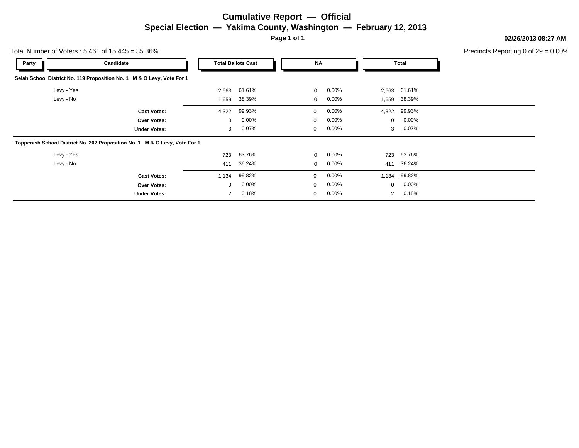## **Cumulative Report — Official Special Election — Yakima County, Washington — February 12, 2013**

**Page 1 of 1**

**02/26/2013 08:27 AM**

Precincts Reporting 0 of 29 = 0.00%

| Total Number of Voters: $5,461$ of $15,445 = 35.36\%$ |                                                                            |                |                           |             |          |                |              | Precincts Reporting 0 of 2 |
|-------------------------------------------------------|----------------------------------------------------------------------------|----------------|---------------------------|-------------|----------|----------------|--------------|----------------------------|
| Party                                                 | Candidate                                                                  |                | <b>Total Ballots Cast</b> | <b>NA</b>   |          |                | Total        |                            |
|                                                       | Selah School District No. 119 Proposition No. 1 M & O Levy, Vote For 1     |                |                           |             |          |                |              |                            |
| Levy - Yes                                            |                                                                            | 2,663          | 61.61%                    | $\mathbf 0$ | $0.00\%$ |                | 2,663 61.61% |                            |
| Levy - No                                             |                                                                            | 1,659          | 38.39%                    | $\mathbf 0$ | $0.00\%$ | 1,659          | 38.39%       |                            |
|                                                       | <b>Cast Votes:</b>                                                         | 4,322          | 99.93%                    | $\mathbf 0$ | $0.00\%$ | 4,322          | 99.93%       |                            |
|                                                       | Over Votes:                                                                | $\mathbf 0$    | $0.00\%$                  | $\mathbf 0$ | $0.00\%$ | $\mathbf 0$    | $0.00\%$     |                            |
|                                                       | <b>Under Votes:</b>                                                        | 3              | 0.07%                     | 0           | $0.00\%$ | 3              | $0.07\%$     |                            |
|                                                       | Toppenish School District No. 202 Proposition No. 1 M & O Levy, Vote For 1 |                |                           |             |          |                |              |                            |
| Levy - Yes                                            |                                                                            | 723            | 63.76%                    | $\Omega$    | $0.00\%$ | 723            | 63.76%       |                            |
| Levy - No                                             |                                                                            | 411            | 36.24%                    | $\mathbf 0$ | $0.00\%$ | 411            | 36.24%       |                            |
|                                                       | <b>Cast Votes:</b>                                                         | 1,134          | 99.82%                    | $\mathbf 0$ | $0.00\%$ | 1,134          | 99.82%       |                            |
|                                                       | Over Votes:                                                                | $\mathbf 0$    | $0.00\%$                  | $\mathbf 0$ | $0.00\%$ | $\mathbf 0$    | $0.00\%$     |                            |
|                                                       | <b>Under Votes:</b>                                                        | $\overline{2}$ | 0.18%                     | $\mathbf 0$ | $0.00\%$ | $\overline{2}$ | 0.18%        |                            |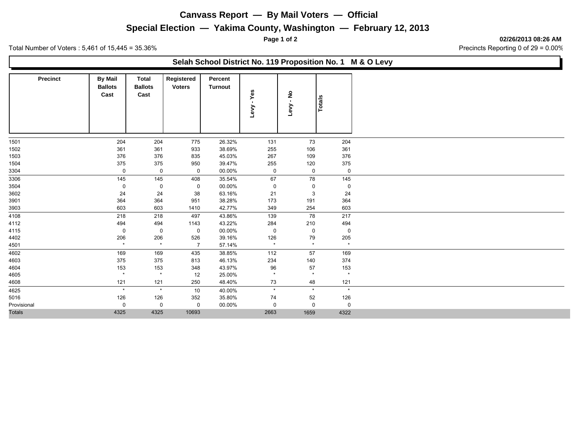### **Canvass Report — By Mail Voters — Official**

### **Special Election — Yakima County, Washington — February 12, 2013**

**Page 1 of 2 02/26/2013 08:26 AM**

Total Number of Voters : 5,461 of 15,445 = 35.36% Server Number of Voters : 5,461 of 15,445 = 35.36%

### **Selah School District No. 119 Proposition No. 1 M & O Levy**

| <b>Precinct</b> | <b>By Mail</b><br><b>Ballots</b><br>Cast | <b>Total</b><br><b>Ballots</b><br>Cast | Registered<br><b>Voters</b> | Percent<br>Turnout | - Yes<br><b>Levy</b> | $\frac{9}{1}$<br>Levy | <b>Totals</b> |
|-----------------|------------------------------------------|----------------------------------------|-----------------------------|--------------------|----------------------|-----------------------|---------------|
| 1501            | 204                                      | 204                                    | 775                         | 26.32%             | 131                  | 73                    | 204           |
| 1502            | 361                                      | 361                                    | 933                         | 38.69%             | 255                  | 106                   | 361           |
| 1503            | 376                                      | 376                                    | 835                         | 45.03%             | 267                  | 109                   | 376           |
| 1504            | 375                                      | 375                                    | 950                         | 39.47%             | 255                  | 120                   | 375           |
| 3304            | $\mathbf 0$                              | $\mathbf 0$                            | $\mathbf 0$                 | 00.00%             | $\mathbf 0$          | $\mathbf 0$           | $\mathbf 0$   |
| 3306            | 145                                      | 145                                    | 408                         | 35.54%             | 67                   | 78                    | 145           |
| 3504            | 0                                        | 0                                      | $\mathbf 0$                 | 00.00%             | 0                    | 0                     | $\mathbf 0$   |
| 3602            | 24                                       | 24                                     | 38                          | 63.16%             | 21                   | 3                     | 24            |
| 3901            | 364                                      | 364                                    | 951                         | 38.28%             | 173                  | 191                   | 364           |
| 3903            | 603                                      | 603                                    | 1410                        | 42.77%             | 349                  | 254                   | 603           |
| 4108            | 218                                      | 218                                    | 497                         | 43.86%             | 139                  | 78                    | 217           |
| 4112            | 494                                      | 494                                    | 1143                        | 43.22%             | 284                  | 210                   | 494           |
| 4115            | 0                                        | $\mathbf 0$                            | $\mathbf 0$                 | 00.00%             | $\mathbf 0$          | $\mathbf 0$           | $\mathbf 0$   |
| 4402            | 206                                      | 206                                    | 526                         | 39.16%             | 126                  | 79                    | 205           |
| 4501            | $\star$                                  | $\star$                                | $\overline{7}$              | 57.14%             | $\star$              | $\star$               | $\star$       |
| 4602            | 169                                      | 169                                    | 435                         | 38.85%             | 112                  | 57                    | 169           |
| 4603            | 375                                      | 375                                    | 813                         | 46.13%             | 234                  | 140                   | 374           |
| 4604            | 153                                      | 153                                    | 348                         | 43.97%             | 96                   | 57                    | 153           |
| 4605            | $\star$                                  | $\star$                                | 12                          | 25.00%             | $\star$              | $\star$               | $\star$       |
| 4608            | 121                                      | 121                                    | 250                         | 48.40%             | 73                   | 48                    | 121           |
| 4625            | $\star$                                  | $\star$                                | 10                          | 40.00%             | $\star$              | $\star$               | $\star$       |
| 5016            | 126                                      | 126                                    | 352                         | 35.80%             | 74                   | 52                    | 126           |
| Provisional     | 0                                        | 0                                      | 0                           | 00.00%             | 0                    | $\mathbf 0$           | $\mathbf 0$   |
| <b>Totals</b>   | 4325                                     | 4325                                   | 10693                       |                    | 2663                 | 1659                  | 4322          |